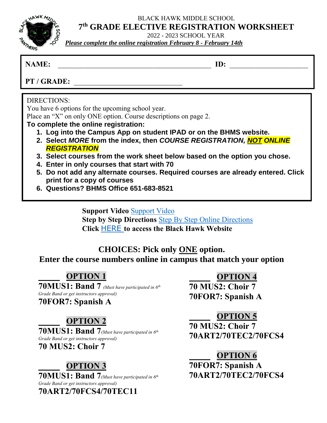BLACK HAWK MIDDLE SCHOOL

**HAWK** M

# **7 th GRADE ELECTIVE REGISTRATION WORKSHEET**

2022 - 2023 SCHOOL YEAR

*Please complete the online registration February 8 - February 14th*

#### **NAME: ID:**  $\blacksquare$

PT / GRADE:

## DIRECTIONS:

You have 6 options for the upcoming school year.

Place an "X" on only ONE option. Course descriptions on page 2.

#### **To complete the online registration:**

- **1. Log into the Campus App on student IPAD or on the BHMS website.**
- **2. Select** *MORE* **from the index, then** *COURSE REGISTRATION, NOT ONLINE REGISTRATION*
- **3. Select courses from the work sheet below based on the option you chose.**
- **4. Enter in only courses that start with 70**
- **5. Do not add any alternate courses. Required courses are already entered. Click print for a copy of courses**
- **6. Questions? BHMS Office 651-683-8521**

**Support Video** [Support Video](https://drive.google.com/file/d/1NOp12HKKifkGeC_-6pXgg586MAmuquVI/view?usp=sharing) **Step by Step Directions** [Step By Step Online Directions](https://drive.google.com/file/d/1fa_mBGM9assY66ue1cUBwmGMhVM2ZwfP/view?usp=sharing) **Click** [HERE](https://bhms.district196.org/academics/student-resources/course-registration) **to access the Black Hawk Website**

### **CHOICES: Pick only ONE option. Enter the course numbers online in campus that match your option**

### **OPTION 1**

**70MUS1: Band 7** *(Must have participated in 6th Grade Band or get instructors approval)*

**70FOR7: Spanish A**

### **OPTION 2**

**70MUS1: Band 7***(Must have participated in 6 th Grade Band or get instructors approval)* **70 MUS2: Choir 7**

## **OPTION 3**

**70MUS1: Band 7***(Must have participated in 6 th Grade Band or get instructors approval)* **70ART2/70FCS4/70TEC11** 

 **OPTION 4**

**70 MUS2: Choir 7 70FOR7: Spanish A**

 **OPTION 5**

**70 MUS2: Choir 7 70ART2/70TEC2/70FCS4**

 **OPTION 6 70FOR7: Spanish A 70ART2/70TEC2/70FCS4**